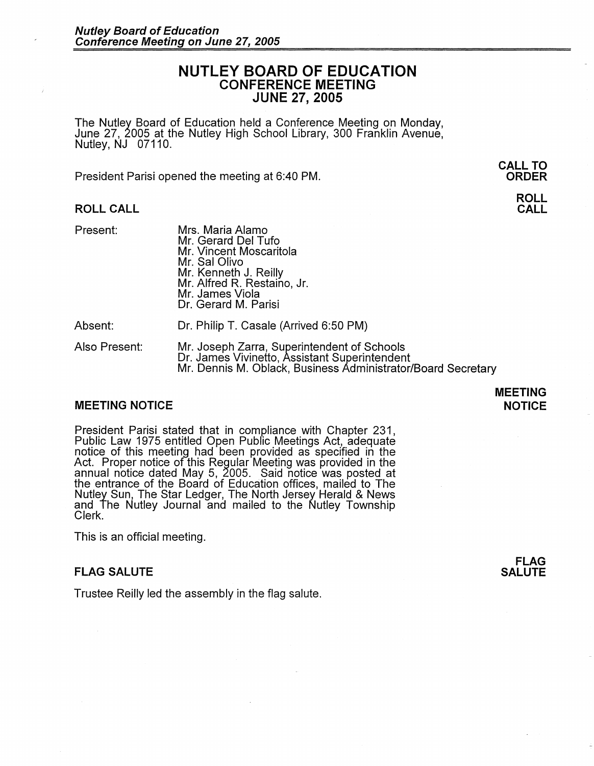# **NUTLEY BOARD OF EDUCATION CONFERENCE MEETING JUNE 27, 2005**

The Nutley Board of Education held a Conference Meeting on Monday, June 27, 2005 at the Nutley High School Library, 300 Franklin Avenue, Nutley, NJ 07110.

President Parisi opened the meeting at 6:40 PM.

### **ROLL CALL**

Present:

Mrs. Maria Alamo Mr. Gerard Del Tufo Mr. Vincent Moscaritola Mr. Sal Olivo Mr. Kenneth J. Reilly Mr. Alfred R. Restaino, Jr. Mr. James Viola Dr. Gerard M. Parisi

Absent: Dr. Philip T. Casale (Arrived 6:50 PM)

Also Present: Mr. Joseph Zarra, Superintendent of Schools Dr. James Vivinetto, Assistant Superintendent Mr. Dennis M. Oblack, Business Administrator/Board Secretary

## **MEETING NOTICE**

President Parisi stated that in compliance with Chapter 231, Public Law 1975 entitled Open Public Meetings Act, adequate notice of this meeting had been provided as specified in the Act. Proper notice of this Regular Meeting was provided in the annual notice dated May 5, 2005. Said notice was posted at the entrance of the Board of Education offices, mailed to The Nutley Sun, The Star Ledger, The North Jersey Herald & News and The Nutley Journal and mailed to the Nutley Township Clerk.

This is an official meeting.

### **FLAG SALUTE**

Trustee Reilly led the assembly in the flag salute.

**MEETING NOTICE** 

> **FLAG SALUTE**

## **CALL TO ORDER**

**ROLL CALL**